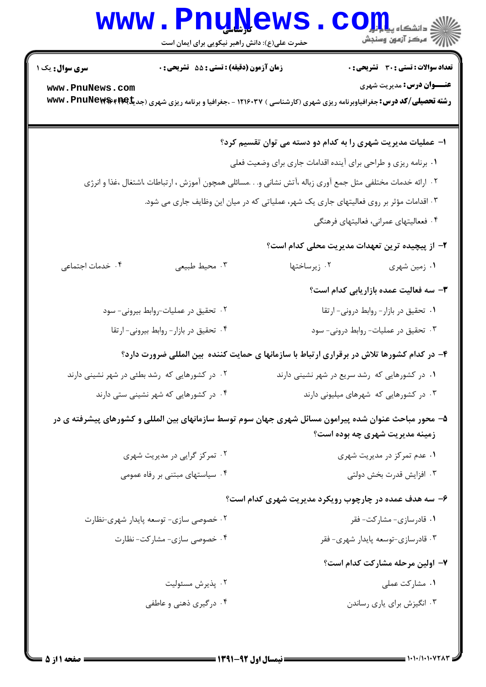# Www.PnuNews.com

| <b>سری سوال :</b> یک ۱                                                                                   | زمان آزمون (دقیقه) : تستی : 55 آتشریحی : 0                                                                                               |                                                                | <b>تعداد سوالات : تستی : 30 ٪ تشریحی : 0</b>  |  |
|----------------------------------------------------------------------------------------------------------|------------------------------------------------------------------------------------------------------------------------------------------|----------------------------------------------------------------|-----------------------------------------------|--|
| www.PnuNews.com                                                                                          |                                                                                                                                          |                                                                | <b>عنـــوان درس:</b> مدیریت شهری              |  |
|                                                                                                          | <b>رشته تحصیلی/کد درس:</b> جغرافیاوبرنامه ریزی شهری (کارشناسی ) ۱۲۱۶۰۳۷ - ،جغرافیا و برنامه ریزی شهری (جدیکه <b>۱۶۶۹ Mww ، PnuNews س</b> |                                                                |                                               |  |
|                                                                                                          |                                                                                                                                          |                                                                |                                               |  |
|                                                                                                          |                                                                                                                                          | ا– عملیات مدیریت شهری را به کدام دو دسته می توان تقسیم کرد؟    |                                               |  |
|                                                                                                          |                                                                                                                                          | ۰۱ برنامه ریزی و طراحی برای آینده اقدامات جاری برای وضعیت فعلی |                                               |  |
| ۰۲ ارائه خدمات مختلفی مثل جمع آوری زباله ،آتش نشانی و.مسائلی همچون آموزش ، ارتباطات ،اشتغال ،غذا و انرژی |                                                                                                                                          |                                                                |                                               |  |
| ۰۳ اقدامات مؤثر بر روی فعالیتهای جاری یک شهر، عملیاتی که در میان این وظایف جاری می شود.                  |                                                                                                                                          |                                                                |                                               |  |
|                                                                                                          |                                                                                                                                          | ۰۴ فععالیتهای عمرانی، فعالیتهای فرهنگی                         |                                               |  |
|                                                                                                          |                                                                                                                                          | ۲– از پیچیده ترین تعهدات مدیریت محلی کدام است؟                 |                                               |  |
| ۰۴ خدمات اجتماعی                                                                                         | ۰۳ محيط طبيعي                                                                                                                            | ۰۲ زیرساختها                                                   | ١. زمين شهري                                  |  |
|                                                                                                          |                                                                                                                                          |                                                                | <b>۳</b> – سه فعالیت عمده بازاریابی کدام است؟ |  |
|                                                                                                          | ۰۲ تحقیق در عملیات-روابط بیرونی- سود                                                                                                     |                                                                | ٠١ تحقيق در بازار- روابط دروني- ارتقا         |  |
| ۰۴ تحقیق در بازار- روابط بیرونی- ارتقا                                                                   |                                                                                                                                          | ۰۳ تحقیق در عملیات- روابط درونی- سود                           |                                               |  |
|                                                                                                          | ۴– در کدام کشورها تلاش در برقراری ارتباط با سازمانها ی حمایت کننده بین المللی ضرورت دارد؟                                                |                                                                |                                               |  |
|                                                                                                          | ۰۲ در کشورهایی که رشد بطئی در شهر نشینی دارند                                                                                            | ۰۱ در کشورهایی که رشد سریع در شهر نشینی دارند                  |                                               |  |
|                                                                                                          | ۰۴ در کشورهایی که شهر نشینی ستی دارند                                                                                                    | ۰۳ در کشورهایی که شهرهای میلیونی دارند                         |                                               |  |
| ۵– محور مباحث عنوان شده پیرامون مسائل شهری جهان سوم توسط سازمانهای بین المللی و کشورهای پیشرفته ی در     |                                                                                                                                          |                                                                |                                               |  |
|                                                                                                          |                                                                                                                                          | زمینه مدیریت شهری چه بوده است؟                                 |                                               |  |
|                                                                                                          | ۰۲ تمرکز گرایی در مدیریت شهری                                                                                                            |                                                                | ۰۱ عدم تمرکز در مدیریت شهری                   |  |
|                                                                                                          | ۰۴ سیاستهای مبتنی بر رفاه عمومی                                                                                                          |                                                                | ۰۳ افزايش قدرت بخش دولتي                      |  |
| ۶- سه هدف عمده در چارچوب رویکرد مدیریت شهری کدام است؟                                                    |                                                                                                                                          |                                                                |                                               |  |
|                                                                                                          | ۰۲ خصوصی سازی- توسعه پایدار شهری-نظارت                                                                                                   |                                                                | ۰۱ قادرسازی- مشارکت- فقر                      |  |
|                                                                                                          | ۰۴ خصوصی سازی- مشارکت- نظارت                                                                                                             |                                                                | ۰۳ قادرسازى-توسعه پايدار شهرى- فقر            |  |
|                                                                                                          |                                                                                                                                          |                                                                | ۷- اولین مرحله مشارکت کدام است؟               |  |
|                                                                                                          | ۰۲ پذیرش مسئولیت                                                                                                                         |                                                                | ٠١ مشاركت عملى                                |  |
|                                                                                                          | ۰۴ درگیری ذهنی و عاطفی                                                                                                                   |                                                                | ۰۳ انگیزش برای یاری رساندن                    |  |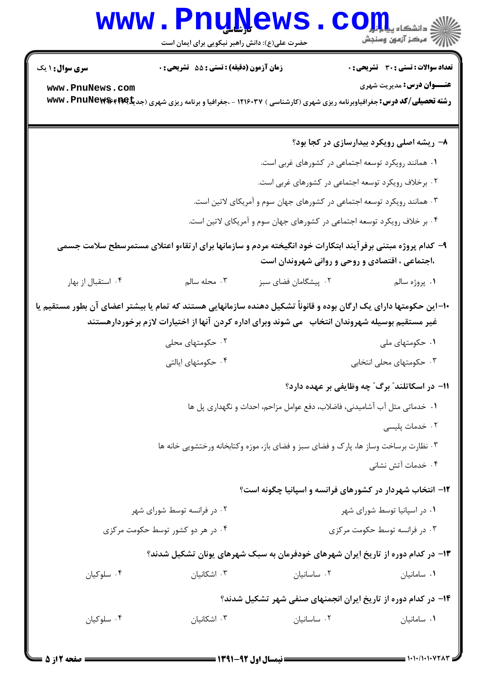#### WWW.PnuNews.com

حضرت علی(ع): دانش راهبر نیکویی برای ایمان است

**تعداد سوالات : تستي : 30 ٪ تشريحي : 0 سری سوال : ۱ یک** زمان آزمون (دقيقه) : تستى : 55 ٪ تشريحي : 0 **عنــوان درس:** مدیریت شهری www.PnuNews.com رشته تحصیلی/کد درس: جغرافیاوبرنامه ریزی شهری (کارشناسی ) ۱۲۱۶۰۳۷ - ،جغرافیا و برنامه ریزی شهری (جدیگهه۴۴۶۶ با www. PnuNew\$ ۸- ریشه اصلی رویکرد بیدارسازی در کجا بود؟ ٠١ همانند رويكرد توسعه اجتماعي در كشورهاي غربي است. ۰۲ برخلاف رویکرد توسعه اجتماعی در کشورهای غربی است. ۰۳ همانند رویکرد توسعه اجتماعی در کشورهای جهان سوم و آمریکای لاتین است. ۰۴ بر خلاف رویکرد توسعه اجتماعی در کشورهای جهان سوم و آمریکای لاتین است. ۹- کدام پروژه مبتنی برفر آیند ابتکارات خود انگیخته مردم و سازمانها برای ارتقاءو اعتلای مستمرسطح سلامت جسمی ،اجتماعی ، اقتصادی و روحی و روانی شهروندان است ۰۴ استقبال از بهار محله سالم  $\cdot$ ۳ ۰۲ پیشگامان فضای سبز ۰۱ پروژه سالم ۱۰–این حکومتها دارای یک ارگان بوده و قانوناً تشکیل دهنده سازمانهایی هستند که تمام یا بیشتر اعضای آن بطور مستقیم یا غیر مستقیم بوسیله شهروندان انتخاب ً می شوند وبرای اداره کردن آنها از اختیارات لازم برخوردارهستند ۰۲ حکومتهای محلی ۰۱ حکومتهای ملی ۰۴ حکومتهای ایالتی ۰۳ حکومتهای محلی انتخابی <mark>۱۱– در اسکاتلند″ برگ″ چه وظایفی بر عهده دارد</mark>؟ ١. خدماتي مثل آب أشاميدني، فاضلاب، دفع عوامل مزاحم، احداث و نگهداري پل ها ٢. خدمات پليسى ۰۳ نظارت برساخت وساز ها، پارک و فضای سبز و فضای باز، موزه وکتابخانه ورختشویی خانه ها ۰۴ خدمات آتش نشانی ۱۲- انتخاب شهردار در کشورهای فرانسه و اسپانیا چگونه است؟ ۰۱ در اسیانیا توسط شورای شهر ۰۲ در فرانسه توسط شورای شهر ۰۴ در هر دو کشور توسط حکومت مرکزی ۰۳ در فرانسه توسط حکومت مرکزی ۱۳- در کدام دوره از تاریخ ایران شهرهای خودفرمان به سبک شهرهای یونان تشکیل شدند؟ ۰۴ سلوکیان ۰۳ اشکانیان ۰۲ ساسانیان ۰۱ سامانیان ۱۴- در کدام دوره از تاریخ ایران انجمنهای صنفی شهر تشکیل شدند؟ ۰۴ سلوکیان ۰۳ اشکانیان ۰۲ ساسانیان ۰۱ سامانیان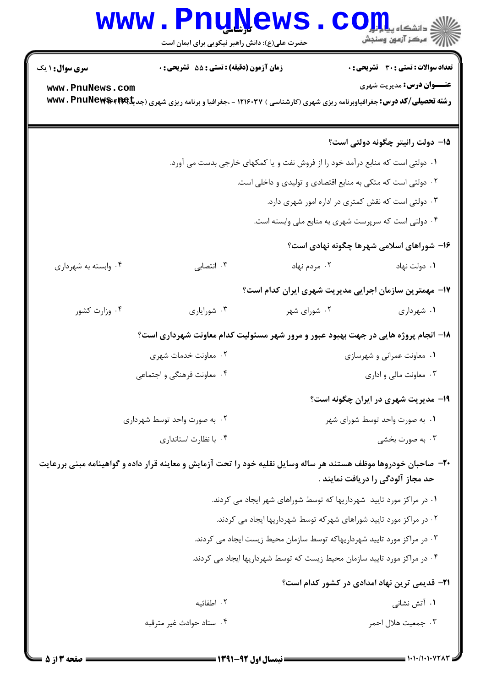# Www.PnuNews.com

| <b>سری سوال : ۱ یک</b>                                                                                          | زمان آزمون (دقیقه) : تستی : 55 آتشریحی : 0                                                                                         |                                                                                | تعداد سوالات : تستي : 30 - تشريحي : 0                |  |
|-----------------------------------------------------------------------------------------------------------------|------------------------------------------------------------------------------------------------------------------------------------|--------------------------------------------------------------------------------|------------------------------------------------------|--|
| www.PnuNews.com                                                                                                 |                                                                                                                                    |                                                                                | <b>عنـــوان درس:</b> مديريت شهري                     |  |
|                                                                                                                 | <b>رشته تحصیلی/کد درس:</b> جغرافیاوبرنامه ریزی شهری (کارشناسی ) ۱۲۱۶۰۳۷ - ،جغرافیا و برنامه ریزی شهری (جدیگ۷۶۴۱ <b>۱۳۹۴۰ ت</b> www |                                                                                |                                                      |  |
|                                                                                                                 |                                                                                                                                    |                                                                                |                                                      |  |
|                                                                                                                 |                                                                                                                                    |                                                                                | <b>۱۵</b> - دولت رانیتر چگونه دولتی است؟             |  |
|                                                                                                                 |                                                                                                                                    | ۰۱ دولتی است که منابع درآمد خود را از فروش نفت و یا کمکهای خارجی بدست می آورد. |                                                      |  |
|                                                                                                                 |                                                                                                                                    | ۰۲ دولتی است که متکی به منابع اقتصادی و تولیدی و داخلی است.                    |                                                      |  |
|                                                                                                                 |                                                                                                                                    | ۰۳ دولتی است که نقش کمتری در اداره امور شهری دارد.                             |                                                      |  |
|                                                                                                                 |                                                                                                                                    | ۰۴ دولتی است که سرپرست شهری به منابع ملی وابسته است.                           |                                                      |  |
|                                                                                                                 |                                                                                                                                    |                                                                                | ۱۶- شوراهای اسلامی شهرها چگونه نهادی است؟            |  |
| ۰۴ وابسته به شهرداري                                                                                            | ۰۳ انتصابی                                                                                                                         | ۰۲ مردم نهاد                                                                   | ٠١ دولت نهاد                                         |  |
| ۱۷– مهمترین سازمان اجرایی مدیریت شهری ایران کدام است؟                                                           |                                                                                                                                    |                                                                                |                                                      |  |
| ۰۴ وزارت کشور                                                                                                   | ۰۳ شوراياري                                                                                                                        | ۰۲ شورای شهر                                                                   | ۰۱ شهرداری                                           |  |
| ۱۸– انجام پروژه هایی در جهت بهبود عبور و مرور شهر مسئولیت کدام معاونت شهرداری است؟                              |                                                                                                                                    |                                                                                |                                                      |  |
|                                                                                                                 | ۰۲ معاونت خدمات شهری                                                                                                               |                                                                                | ۰۱ معاونت عمرانی و شهرسازی                           |  |
|                                                                                                                 | ۰۴ معاونت فرهنگی و اجتماعی                                                                                                         |                                                                                | ۰۳ معاونت مالی و اداری                               |  |
|                                                                                                                 |                                                                                                                                    |                                                                                | ۱۹- مدیریت شهری در ایران چگونه است؟                  |  |
|                                                                                                                 | ۰۲ به صورت واحد توسط شهرداری                                                                                                       |                                                                                | ٠١ به صورت واحد توسط شوراي شهر                       |  |
|                                                                                                                 | ۰۴ با نظارت استانداری                                                                                                              |                                                                                | ۰۳ به صورت بخشی                                      |  |
| +۲- صاحبان خودروها موظف هستند هر ساله وسایل نقلیه خود را تحت آزمایش و معاینه قرار داده و گواهینامه مبنی بررعایت |                                                                                                                                    |                                                                                |                                                      |  |
|                                                                                                                 |                                                                                                                                    |                                                                                | حد مجاز آلودگی را دریافت نمایند .                    |  |
|                                                                                                                 |                                                                                                                                    | ۰۱ در مراکز مورد تایید شهرداریها که توسط شوراهای شهر ایجاد می کردند.           |                                                      |  |
| ۰۲ در مراکز مورد تایید شوراهای شهرکه توسط شهرداریها ایجاد می کردند.                                             |                                                                                                                                    |                                                                                |                                                      |  |
|                                                                                                                 |                                                                                                                                    | ۰۳ در مراکز مورد تایید شهرداریهاکه توسط سازمان محیط زیست ایجاد می کردند.       |                                                      |  |
|                                                                                                                 |                                                                                                                                    | ۰۴ در مراکز مورد تایید سازمان محیط زیست که توسط شهرداریها ایجاد می کردند.      |                                                      |  |
|                                                                                                                 |                                                                                                                                    |                                                                                | <b>٢١</b> - قديمي ترين نهاد امدادي در كشور كدام است؟ |  |
|                                                                                                                 | ۲. اطفائیه                                                                                                                         |                                                                                | ۰۱ آتش نشانی                                         |  |
|                                                                                                                 | ۰۴ ستاد حوادث غیر مترقبه                                                                                                           |                                                                                | ۰۳ جمعیت هلال احمر                                   |  |
|                                                                                                                 |                                                                                                                                    |                                                                                |                                                      |  |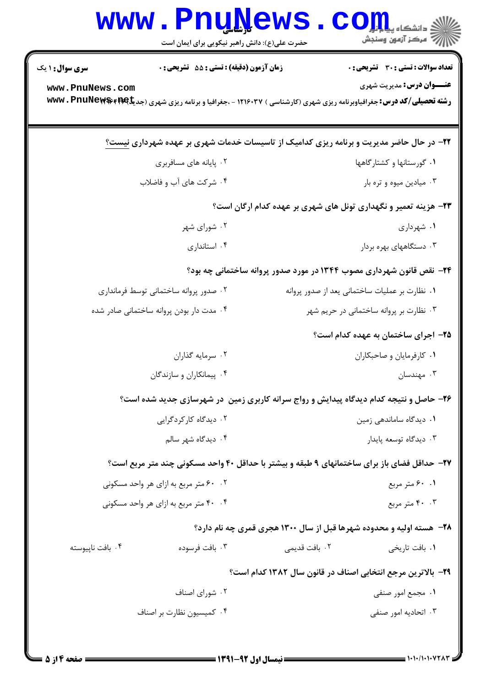| <b>WWW</b>                                                      | <u>. Funkems</u><br>حضرت علی(ع): دانش راهبر نیکویی برای ایمان است                                                                        |                                                                              | ≤ دانشکاه پ <b>یا ب<sup>ا</sup></b><br>رآ مرکز آزمون وسنجش |  |  |
|-----------------------------------------------------------------|------------------------------------------------------------------------------------------------------------------------------------------|------------------------------------------------------------------------------|------------------------------------------------------------|--|--|
| <b>سری سوال : ۱ یک</b>                                          | <b>زمان آزمون (دقیقه) : تستی : 55 تشریحی : 0</b>                                                                                         |                                                                              | <b>تعداد سوالات : تستی : 30 ٪ تشریحی : 0</b>               |  |  |
| www.PnuNews.com                                                 | <b>رشته تحصیلی/کد درس:</b> جغرافیاوبرنامه ریزی شهری (کارشناسی ) ۱۲۱۶۰۳۷ - ،جغرافیا و برنامه ریزی شهری (جدیکه <b>۱۶۶۹ Mww ، PnuNews س</b> |                                                                              | <b>عنـــوان درس:</b> مدیریت شهری                           |  |  |
|                                                                 | ۲۲- در حال حاضر مدیریت و برنامه ریزی کدامیک از تاسیسات خدمات شهری بر عهده شهرداری نیست؟                                                  |                                                                              |                                                            |  |  |
|                                                                 | ۰۲ پایانه های مسافربری                                                                                                                   |                                                                              | ۰۱ گورستانها و کشتارگاهها                                  |  |  |
|                                                                 | ۰۴ شرکت های آب و فاضلاب                                                                                                                  |                                                                              | ۰۳ میادین میوه و تره بار                                   |  |  |
| ۲۳- هزینه تعمیر و نگهداری تونل های شهری بر عهده کدام ارگان است؟ |                                                                                                                                          |                                                                              |                                                            |  |  |
|                                                                 | ۰۲ شورای شهر                                                                                                                             |                                                                              | ۰۱ شهرداری                                                 |  |  |
|                                                                 | ۰۴ استانداری                                                                                                                             |                                                                              | ۰۳ دستگاههای بهره بردار                                    |  |  |
|                                                                 |                                                                                                                                          | <b>34</b> - نقص قانون شهرداری مصوب ۱۳۴۴ در مورد صدور پروانه ساختمانی چه بود؟ |                                                            |  |  |
|                                                                 | ۰۲ صدور پروانه ساختمانی توسط فرمانداری                                                                                                   |                                                                              | ۰۱ نظارت بر عملیات ساختمانی یعد از صدور پروانه             |  |  |
|                                                                 | ۰۴ مدت دار بودن پروانه ساختمانی صادر شده                                                                                                 |                                                                              | ۰۳ نظارت بر پروانه ساختمانی در حریم شهر                    |  |  |
|                                                                 |                                                                                                                                          |                                                                              | ۲۵– اجرای ساختمان به عهده کدام است؟                        |  |  |
|                                                                 | ۰۲ سرمایه گذاران                                                                                                                         |                                                                              | ٠١ كارفرمايان وصاحبكاران                                   |  |  |
|                                                                 | ۰۴ پیمانکاران و سازندگان                                                                                                                 |                                                                              | ۰۳ مهندسان                                                 |  |  |
|                                                                 | ۲۶- حاصل و نتیجه کدام دیدگاه پیدایش و رواج سرانه کاربری زمین ً در شهرسازی جدید شده است؟                                                  |                                                                              |                                                            |  |  |
|                                                                 | ۰۲ دیدگاه کارکردگرایی                                                                                                                    |                                                                              | ۰۱ دیدگاه ساماندهی زمین                                    |  |  |
|                                                                 | ۰۴ دیدگاه شهر سالم                                                                                                                       |                                                                              | ۰۳ دیدگاه توسعه پایدار                                     |  |  |
|                                                                 | <b>۲۷- حداقل فضای باز برای ساختمانهای ۹ طبقه و بیشتر با حداقل ۴۰ واحد مسکونی چند متر مربع است؟</b>                                       |                                                                              |                                                            |  |  |
|                                                                 | ۰۲ ۶۰ متر مربع به ازای هر واحد مسکونی                                                                                                    |                                                                              | ۰.۱ ۶۰ متر مربع                                            |  |  |
|                                                                 | ۰۴ ۴۰ متر مربع به ازای هر واحد مسکونی                                                                                                    |                                                                              | ۴۰ ۴۰ متر مربع                                             |  |  |
|                                                                 |                                                                                                                                          | <b>۲۸</b> - هسته اولیه و محدوده شهرها قبل از سال ۱۳۰۰ هجری قمری چه نام دارد؟ |                                                            |  |  |
| ۰۴ بافت ناپیوسته                                                | ۰۳ بافت فرسوده                                                                                                                           | ۰۲ بافت قدیمی                                                                | ۰۱ بافت تاریخی                                             |  |  |
| ۲۹- بالاترین مرجع انتخابی اصناف در قانون سال ۱۳۸۲ کدام است؟     |                                                                                                                                          |                                                                              |                                                            |  |  |
|                                                                 | ۰۲ شورای اصناف                                                                                                                           |                                                                              | ۰۱ مجمع امور صنفی                                          |  |  |
|                                                                 | ۰۴ کمیسیون نظارت بر اصناف                                                                                                                |                                                                              | ۰۳ اتحادیه امور صنفی                                       |  |  |
|                                                                 |                                                                                                                                          |                                                                              |                                                            |  |  |